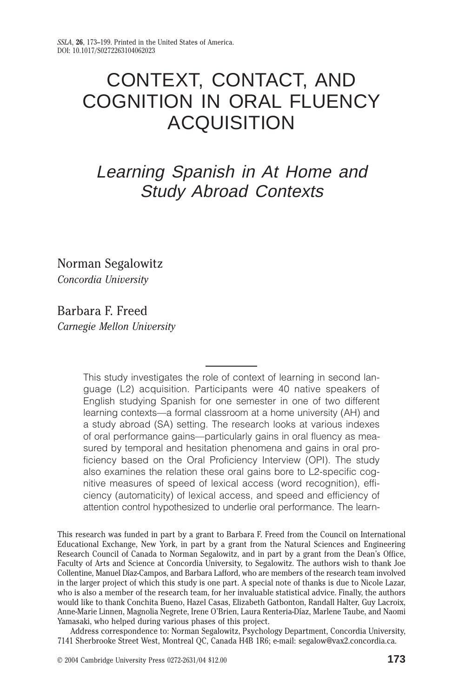# CONTEXT, CONTACT, AND COGNITION IN ORAL FLUENCY ACQUISITION

# Learning Spanish in At Home and Study Abroad Contexts

Norman Segalowitz *Concordia University*

Barbara F. Freed *Carnegie Mellon University*

> This study investigates the role of context of learning in second language (L2) acquisition. Participants were 40 native speakers of English studying Spanish for one semester in one of two different learning contexts—a formal classroom at a home university (AH) and a study abroad (SA) setting. The research looks at various indexes of oral performance gains—particularly gains in oral fluency as measured by temporal and hesitation phenomena and gains in oral proficiency based on the Oral Proficiency Interview (OPI). The study also examines the relation these oral gains bore to L2-specific cognitive measures of speed of lexical access (word recognition), efficiency (automaticity) of lexical access, and speed and efficiency of attention control hypothesized to underlie oral performance. The learn-

This research was funded in part by a grant to Barbara F. Freed from the Council on International Educational Exchange, New York, in part by a grant from the Natural Sciences and Engineering Research Council of Canada to Norman Segalowitz, and in part by a grant from the Dean's Office, Faculty of Arts and Science at Concordia University, to Segalowitz. The authors wish to thank Joe Collentine, Manuel Díaz-Campos, and Barbara Lafford, who are members of the research team involved in the larger project of which this study is one part. A special note of thanks is due to Nicole Lazar, who is also a member of the research team, for her invaluable statistical advice. Finally, the authors would like to thank Conchita Bueno, Hazel Casas, Elizabeth Gatbonton, Randall Halter, Guy Lacroix, Anne-Marie Linnen, Magnolia Negrete, Irene O'Brien, Laura Renteria-Díaz, Marlene Taube, and Naomi Yamasaki, who helped during various phases of this project.

Address correspondence to: Norman Segalowitz, Psychology Department, Concordia University, 7141 Sherbrooke Street West, Montreal QC, Canada H4B 1R6; e-mail: segalow@vax2.concordia.ca.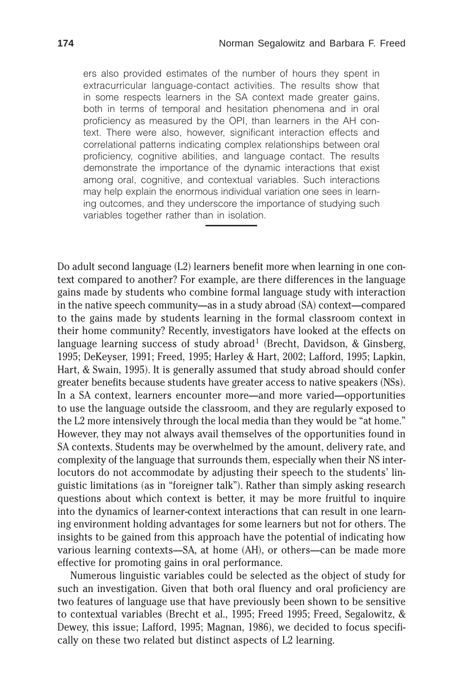ers also provided estimates of the number of hours they spent in extracurricular language-contact activities. The results show that in some respects learners in the SA context made greater gains, both in terms of temporal and hesitation phenomena and in oral proficiency as measured by the OPI, than learners in the AH context. There were also, however, significant interaction effects and correlational patterns indicating complex relationships between oral proficiency, cognitive abilities, and language contact. The results demonstrate the importance of the dynamic interactions that exist among oral, cognitive, and contextual variables. Such interactions may help explain the enormous individual variation one sees in learning outcomes, and they underscore the importance of studying such variables together rather than in isolation.

Do adult second language  $(L2)$  learners benefit more when learning in one context compared to another? For example, are there differences in the language gains made by students who combine formal language study with interaction in the native speech community—as in a study abroad (SA) context—compared to the gains made by students learning in the formal classroom context in their home community? Recently, investigators have looked at the effects on language learning success of study abroad<sup>1</sup> (Brecht, Davidson,  $&$  Ginsberg, 1995; DeKeyser, 1991; Freed, 1995; Harley & Hart, 2002; Lafford, 1995; Lapkin, Hart, & Swain, 1995). It is generally assumed that study abroad should confer greater benefits because students have greater access to native speakers (NSs). In a SA context, learners encounter more—and more varied—opportunities to use the language outside the classroom, and they are regularly exposed to the L2 more intensively through the local media than they would be "at home." However, they may not always avail themselves of the opportunities found in SA contexts, Students may be overwhelmed by the amount, delivery rate, and complexity of the language that surrounds them, especially when their NS interlocutors do not accommodate by adjusting their speech to the students' linguistic limitations (as in "foreigner talk"). Rather than simply asking research questions about which context is better, it may be more fruitful to inquire into the dynamics of learner-context interactions that can result in one learning environment holding advantages for some learners but not for others. The insights to be gained from this approach have the potential of indicating how various learning contexts—SA, at home (AH), or others—can be made more effective for promoting gains in oral performance.

Numerous linguistic variables could be selected as the object of study for such an investigation. Given that both oral fluency and oral proficiency are two features of language use that have previously been shown to be sensitive to contextual variables (Brecht et al., 1995; Freed 1995; Freed, Segalowitz,  $&$ Dewey, this issue; Lafford, 1995; Magnan, 1986), we decided to focus specifically on these two related but distinct aspects of L2 learning.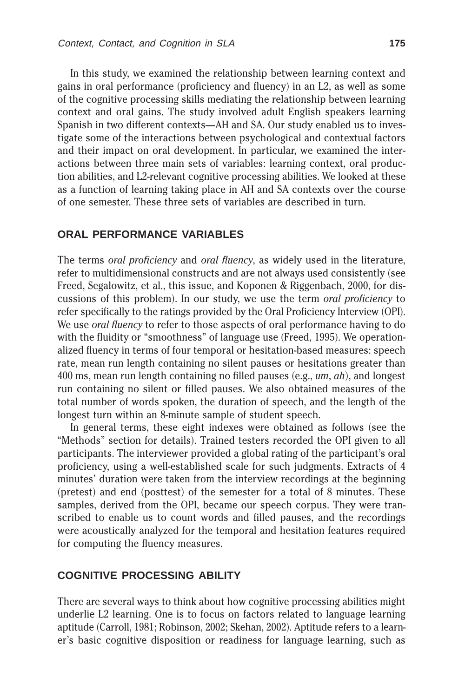In this study, we examined the relationship between learning context and gains in oral performance (proficiency and fluency) in an L2, as well as some of the cognitive processing skills mediating the relationship between learning context and oral gains. The study involved adult English speakers learning Spanish in two different contexts—AH and SA, Our study enabled us to investigate some of the interactions between psychological and contextual factors and their impact on oral development. In particular, we examined the interactions between three main sets of variables: learning context, oral production abilities, and L2-relevant cognitive processing abilities+ We looked at these as a function of learning taking place in AH and SA contexts over the course of one semester. These three sets of variables are described in turn.

## **ORAL PERFORMANCE VARIABLES**

The terms *oral proficiency* and *oral fluency*, as widely used in the literature, refer to multidimensional constructs and are not always used consistently (see Freed, Segalowitz, et al., this issue, and Koponen & Riggenbach, 2000, for discussions of this problem). In our study, we use the term *oral proficiency* to refer specifically to the ratings provided by the Oral Proficiency Interview (OPI). We use *oral fluency* to refer to those aspects of oral performance having to do with the fluidity or "smoothness" of language use (Freed, 1995). We operationalized fluency in terms of four temporal or hesitation-based measures: speech rate, mean run length containing no silent pauses or hesitations greater than 400 ms, mean run length containing no filled pauses (e.g., *um*, *ah*), and longest run containing no silent or filled pauses. We also obtained measures of the total number of words spoken, the duration of speech, and the length of the longest turn within an 8-minute sample of student speech.

In general terms, these eight indexes were obtained as follows (see the "Methods" section for details). Trained testers recorded the OPI given to all participants. The interviewer provided a global rating of the participant's oral proficiency, using a well-established scale for such judgments. Extracts of 4 minutes' duration were taken from the interview recordings at the beginning  $(pretest)$  and end  $(posttest)$  of the semester for a total of 8 minutes. These samples, derived from the OPI, became our speech corpus. They were transcribed to enable us to count words and filled pauses, and the recordings were acoustically analyzed for the temporal and hesitation features required for computing the fluency measures.

## **COGNITIVE PROCESSING ABILITY**

There are several ways to think about how cognitive processing abilities might underlie L2 learning. One is to focus on factors related to language learning aptitude (Carroll, 1981; Robinson, 2002; Skehan, 2002). Aptitude refers to a learner's basic cognitive disposition or readiness for language learning, such as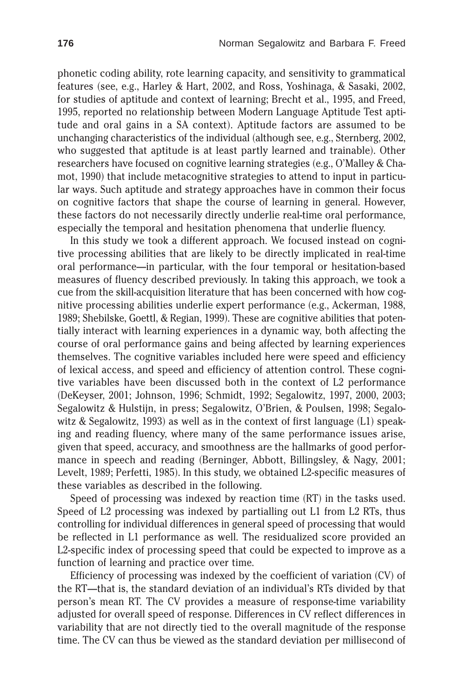phonetic coding ability, rote learning capacity, and sensitivity to grammatical features (see, e.g., Harley & Hart, 2002, and Ross, Yoshinaga, & Sasaki, 2002, for studies of aptitude and context of learning; Brecht et al., 1995, and Freed, 1995, reported no relationship between Modern Language Aptitude Test aptitude and oral gains in a SA context). Aptitude factors are assumed to be unchanging characteristics of the individual (although see, e.g., Sternberg,  $2002$ , who suggested that aptitude is at least partly learned and trainable). Other researchers have focused on cognitive learning strategies  $(e.g., O'Malley & Cha$ mot, 1990) that include metacognitive strategies to attend to input in particular ways. Such aptitude and strategy approaches have in common their focus on cognitive factors that shape the course of learning in general. However, these factors do not necessarily directly underlie real-time oral performance, especially the temporal and hesitation phenomena that underlie fluency.

In this study we took a different approach. We focused instead on cognitive processing abilities that are likely to be directly implicated in real-time oral performance—in particular, with the four temporal or hesitation-based measures of fluency described previously. In taking this approach, we took a cue from the skill-acquisition literature that has been concerned with how cognitive processing abilities underlie expert performance (e.g., Ackerman, 1988, 1989; Shebilske, Goettl, & Regian, 1999). These are cognitive abilities that potentially interact with learning experiences in a dynamic way, both affecting the course of oral performance gains and being affected by learning experiences themselves. The cognitive variables included here were speed and efficiency of lexical access, and speed and efficiency of attention control. These cognitive variables have been discussed both in the context of L2 performance ~DeKeyser, 2001; Johnson, 1996; Schmidt, 1992; Segalowitz, 1997, 2000, 2003; Segalowitz & Hulstijn, in press; Segalowitz, O'Brien, & Poulsen, 1998; Segalowitz & Segalowitz, 1993) as well as in the context of first language  $(L1)$  speaking and reading fluency, where many of the same performance issues arise, given that speed, accuracy, and smoothness are the hallmarks of good performance in speech and reading (Berninger, Abbott, Billingsley, & Nagy, 2001; Levelt, 1989; Perfetti, 1985). In this study, we obtained L2-specific measures of these variables as described in the following.

Speed of processing was indexed by reaction time  $(RT)$  in the tasks used. Speed of L2 processing was indexed by partialling out L1 from L2 RTs, thus controlling for individual differences in general speed of processing that would be reflected in L1 performance as well. The residualized score provided an L2-specific index of processing speed that could be expected to improve as a function of learning and practice over time.

Efficiency of processing was indexed by the coefficient of variation  $(CV)$  of the RT—that is, the standard deviation of an individual's RTs divided by that person's mean RT. The CV provides a measure of response-time variability adjusted for overall speed of response. Differences in CV reflect differences in variability that are not directly tied to the overall magnitude of the response time. The CV can thus be viewed as the standard deviation per millisecond of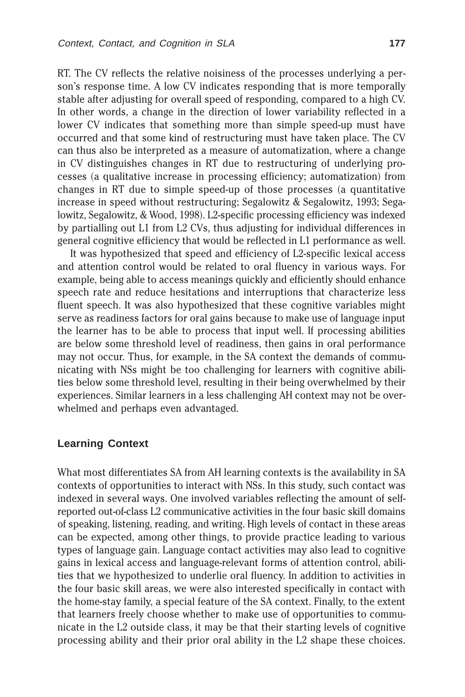RT. The CV reflects the relative noisiness of the processes underlying a person's response time. A low CV indicates responding that is more temporally stable after adjusting for overall speed of responding, compared to a high CV. In other words, a change in the direction of lower variability reflected in a lower CV indicates that something more than simple speed-up must have occurred and that some kind of restructuring must have taken place. The CV can thus also be interpreted as a measure of automatization, where a change in CV distinguishes changes in RT due to restructuring of underlying processes (a qualitative increase in processing efficiency; automatization) from changes in RT due to simple speed-up of those processes (a quantitative increase in speed without restructuring; Segalowitz & Segalowitz, 1993; Segalowitz, Segalowitz, & Wood, 1998). L2-specific processing efficiency was indexed by partialling out L1 from L2 CVs, thus adjusting for individual differences in general cognitive efficiency that would be reflected in L1 performance as well+

It was hypothesized that speed and efficiency of L2-specific lexical access and attention control would be related to oral fluency in various ways. For example, being able to access meanings quickly and efficiently should enhance speech rate and reduce hesitations and interruptions that characterize less fluent speech. It was also hypothesized that these cognitive variables might serve as readiness factors for oral gains because to make use of language input the learner has to be able to process that input well. If processing abilities are below some threshold level of readiness, then gains in oral performance may not occur. Thus, for example, in the SA context the demands of communicating with NSs might be too challenging for learners with cognitive abilities below some threshold level, resulting in their being overwhelmed by their experiences. Similar learners in a less challenging AH context may not be overwhelmed and perhaps even advantaged.

#### **Learning Context**

What most differentiates SA from AH learning contexts is the availability in SA contexts of opportunities to interact with NSs. In this study, such contact was indexed in several ways. One involved variables reflecting the amount of selfreported out-of-class L2 communicative activities in the four basic skill domains of speaking, listening, reading, and writing. High levels of contact in these areas can be expected, among other things, to provide practice leading to various types of language gain. Language contact activities may also lead to cognitive gains in lexical access and language-relevant forms of attention control, abilities that we hypothesized to underlie oral fluency. In addition to activities in the four basic skill areas, we were also interested specifically in contact with the home-stay family, a special feature of the SA context. Finally, to the extent that learners freely choose whether to make use of opportunities to communicate in the L2 outside class, it may be that their starting levels of cognitive processing ability and their prior oral ability in the L2 shape these choices+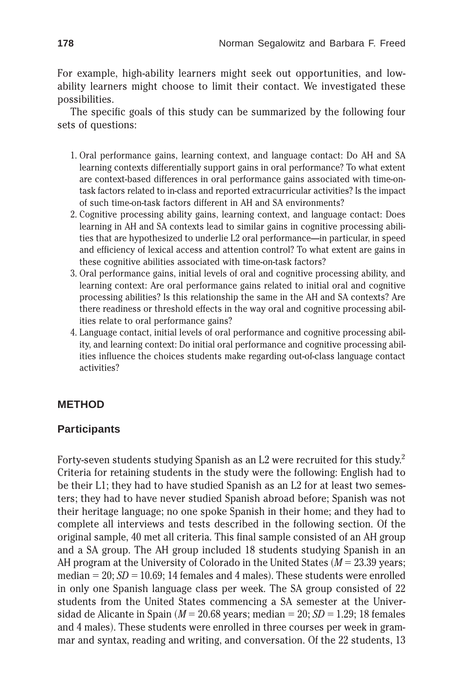For example, high-ability learners might seek out opportunities, and lowability learners might choose to limit their contact. We investigated these possibilities.

The specific goals of this study can be summarized by the following four sets of questions:

- 1. Oral performance gains, learning context, and language contact: Do AH and SA learning contexts differentially support gains in oral performance? To what extent are context-based differences in oral performance gains associated with time-ontask factors related to in-class and reported extracurricular activities? Is the impact of such time-on-task factors different in AH and SA environments?
- 2. Cognitive processing ability gains, learning context, and language contact: Does learning in AH and SA contexts lead to similar gains in cognitive processing abilities that are hypothesized to underlie L2 oral performance—in particular, in speed and efficiency of lexical access and attention control? To what extent are gains in these cognitive abilities associated with time-on-task factors?
- 3. Oral performance gains, initial levels of oral and cognitive processing ability, and learning context: Are oral performance gains related to initial oral and cognitive processing abilities? Is this relationship the same in the AH and SA contexts? Are there readiness or threshold effects in the way oral and cognitive processing abilities relate to oral performance gains?
- 4. Language contact, initial levels of oral performance and cognitive processing ability, and learning context: Do initial oral performance and cognitive processing abilities influence the choices students make regarding out-of-class language contact activities?

## **METHOD**

### **Participants**

Forty-seven students studying Spanish as an L2 were recruited for this study. $^2$ Criteria for retaining students in the study were the following: English had to be their L1; they had to have studied Spanish as an L2 for at least two semesters; they had to have never studied Spanish abroad before; Spanish was not their heritage language; no one spoke Spanish in their home; and they had to complete all interviews and tests described in the following section. Of the original sample, 40 met all criteria. This final sample consisted of an AH group and a SA group. The AH group included 18 students studying Spanish in an AH program at the University of Colorado in the United States  $(M = 23.39$  years; median  $= 20$ ; *SD*  $= 10.69$ ; 14 females and 4 males). These students were enrolled in only one Spanish language class per week. The SA group consisted of 22 students from the United States commencing a SA semester at the Universidad de Alicante in Spain  $(M = 20.68$  years; median  $= 20$ ; *SD*  $= 1.29$ ; 18 females and 4 males). These students were enrolled in three courses per week in grammar and syntax, reading and writing, and conversation. Of the 22 students, 13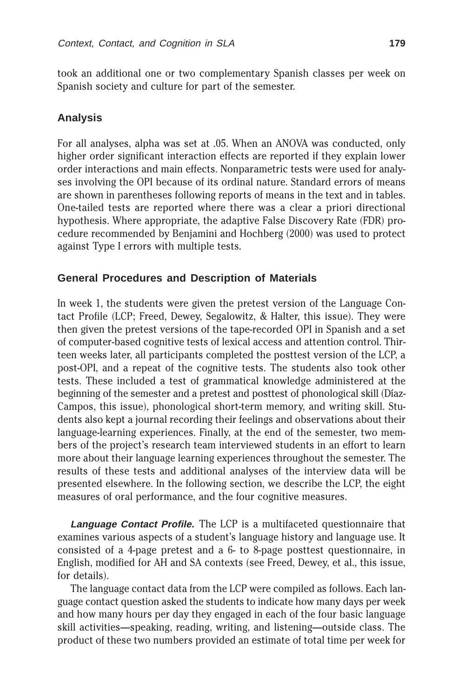took an additional one or two complementary Spanish classes per week on Spanish society and culture for part of the semester.

## **Analysis**

For all analyses, alpha was set at  $.05$ . When an ANOVA was conducted, only higher order significant interaction effects are reported if they explain lower order interactions and main effects. Nonparametric tests were used for analyses involving the OPI because of its ordinal nature. Standard errors of means are shown in parentheses following reports of means in the text and in tables+ One-tailed tests are reported where there was a clear a priori directional hypothesis. Where appropriate, the adaptive False Discovery Rate (FDR) procedure recommended by Benjamini and Hochberg  $(2000)$  was used to protect against Type I errors with multiple tests.

## **General Procedures and Description of Materials**

In week 1, the students were given the pretest version of the Language Contact Profile (LCP; Freed, Dewey, Segalowitz, & Halter, this issue). They were then given the pretest versions of the tape-recorded OPI in Spanish and a set of computer-based cognitive tests of lexical access and attention control+ Thirteen weeks later, all participants completed the posttest version of the LCP, a post-OPI, and a repeat of the cognitive tests. The students also took other tests. These included a test of grammatical knowledge administered at the beginning of the semester and a pretest and posttest of phonological skill (Díaz-Campos, this issue), phonological short-term memory, and writing skill. Students also kept a journal recording their feelings and observations about their language-learning experiences. Finally, at the end of the semester, two members of the project's research team interviewed students in an effort to learn more about their language learning experiences throughout the semester. The results of these tests and additional analyses of the interview data will be presented elsewhere. In the following section, we describe the LCP, the eight measures of oral performance, and the four cognitive measures.

**Language Contact Profile.** The LCP is a multifaceted questionnaire that examines various aspects of a student's language history and language use. It consisted of a 4-page pretest and a 6- to 8-page posttest questionnaire, in English, modified for AH and SA contexts (see Freed, Dewey, et al., this issue, for details).

The language contact data from the LCP were compiled as follows. Each language contact question asked the students to indicate how many days per week and how many hours per day they engaged in each of the four basic language skill activities—speaking, reading, writing, and listening—outside class. The product of these two numbers provided an estimate of total time per week for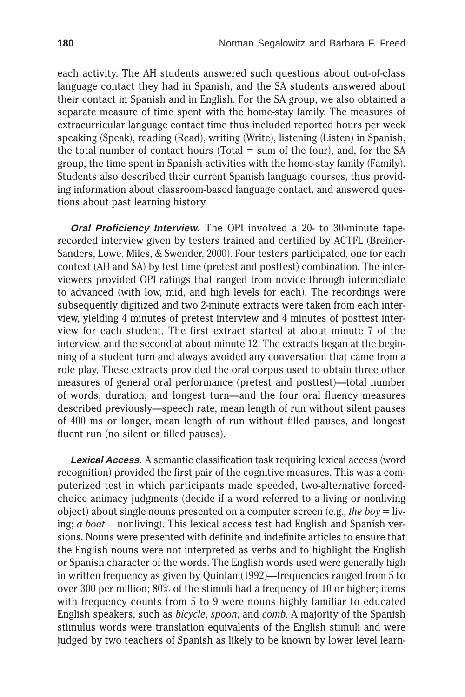each activity. The AH students answered such questions about out-of-class language contact they had in Spanish, and the SA students answered about their contact in Spanish and in English. For the SA group, we also obtained a separate measure of time spent with the home-stay family. The measures of extracurricular language contact time thus included reported hours per week speaking (Speak), reading (Read), writing (Write), listening (Listen) in Spanish, the total number of contact hours  $(Total = sum of the four)$ , and, for the SA group, the time spent in Spanish activities with the home-stay family (Family). Students also described their current Spanish language courses, thus providing information about classroom-based language contact, and answered questions about past learning history.

**Oral Proficiency Interview.** The OPI involved a 20- to 30-minute taperecorded interview given by testers trained and certified by ACTFL (Breiner-Sanders, Lowe, Miles, & Swender, 2000). Four testers participated, one for each context (AH and SA) by test time (pretest and posttest) combination. The interviewers provided OPI ratings that ranged from novice through intermediate to advanced (with low, mid, and high levels for each). The recordings were subsequently digitized and two 2-minute extracts were taken from each interview, yielding 4 minutes of pretest interview and 4 minutes of posttest interview for each student. The first extract started at about minute 7 of the interview, and the second at about minute 12. The extracts began at the beginning of a student turn and always avoided any conversation that came from a role play. These extracts provided the oral corpus used to obtain three other measures of general oral performance (pretest and posttest)—total number of words, duration, and longest turn—and the four oral fluency measures described previously—speech rate, mean length of run without silent pauses of 400 ms or longer, mean length of run without filled pauses, and longest fluent run (no silent or filled pauses).

**Lexical Access.** A semantic classification task requiring lexical access (word recognition) provided the first pair of the cognitive measures. This was a computerized test in which participants made speeded, two-alternative forcedchoice animacy judgments (decide if a word referred to a living or nonliving object) about single nouns presented on a computer screen (e.g., *the boy* = living;  $a\,boat$  = nonliving). This lexical access test had English and Spanish versions. Nouns were presented with definite and indefinite articles to ensure that the English nouns were not interpreted as verbs and to highlight the English or Spanish character of the words. The English words used were generally high in written frequency as given by Quinlan  $(1992)$ —frequencies ranged from 5 to over 300 per million; 80% of the stimuli had a frequency of 10 or higher; items with frequency counts from 5 to 9 were nouns highly familiar to educated English speakers, such as *bicycle*, *spoon*, and *comb*+ A majority of the Spanish stimulus words were translation equivalents of the English stimuli and were judged by two teachers of Spanish as likely to be known by lower level learn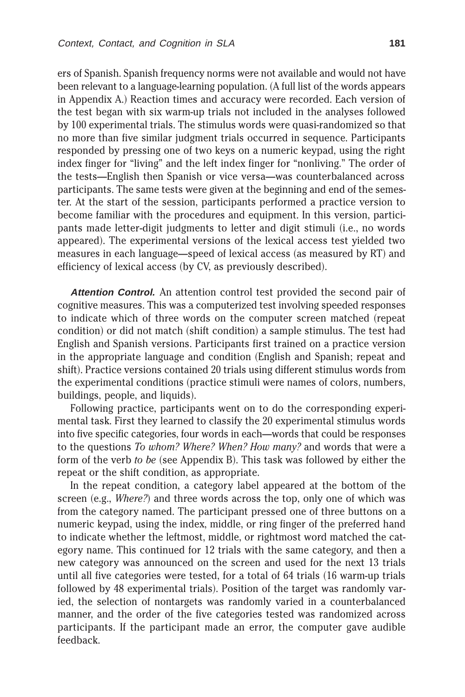ers of Spanish. Spanish frequency norms were not available and would not have been relevant to a language-learning population. (A full list of the words appears in Appendix A.) Reaction times and accuracy were recorded. Each version of the test began with six warm-up trials not included in the analyses followed by 100 experimental trials. The stimulus words were quasi-randomized so that no more than five similar judgment trials occurred in sequence. Participants responded by pressing one of two keys on a numeric keypad, using the right index finger for "living" and the left index finger for "nonliving." The order of the tests—English then Spanish or vice versa—was counterbalanced across participants. The same tests were given at the beginning and end of the semester. At the start of the session, participants performed a practice version to become familiar with the procedures and equipment. In this version, participants made letter-digit judgments to letter and digit stimuli (i.e., no words appeared). The experimental versions of the lexical access test yielded two measures in each language—speed of lexical access (as measured by RT) and efficiency of lexical access (by CV, as previously described).

**Attention Control.** An attention control test provided the second pair of cognitive measures. This was a computerized test involving speeded responses to indicate which of three words on the computer screen matched (repeat condition) or did not match (shift condition) a sample stimulus. The test had English and Spanish versions+ Participants first trained on a practice version in the appropriate language and condition (English and Spanish; repeat and shift). Practice versions contained 20 trials using different stimulus words from the experimental conditions (practice stimuli were names of colors, numbers, buildings, people, and liquids).

Following practice, participants went on to do the corresponding experimental task. First they learned to classify the 20 experimental stimulus words into five specific categories, four words in each—words that could be responses to the questions *To whom? Where? When? How many?* and words that were a form of the verb *to be* (see Appendix B). This task was followed by either the repeat or the shift condition, as appropriate.

In the repeat condition, a category label appeared at the bottom of the screen (e.g., *Where?*) and three words across the top, only one of which was from the category named. The participant pressed one of three buttons on a numeric keypad, using the index, middle, or ring finger of the preferred hand to indicate whether the leftmost, middle, or rightmost word matched the category name. This continued for 12 trials with the same category, and then a new category was announced on the screen and used for the next 13 trials until all five categories were tested, for a total of 64 trials (16 warm-up trials followed by 48 experimental trials). Position of the target was randomly varied, the selection of nontargets was randomly varied in a counterbalanced manner, and the order of the five categories tested was randomized across participants. If the participant made an error, the computer gave audible feedback.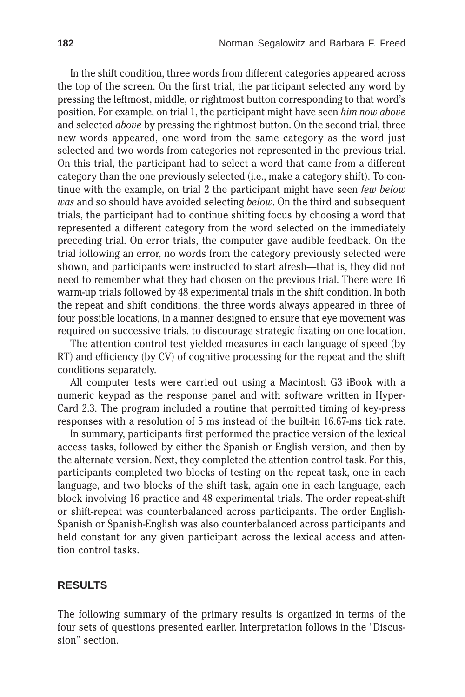In the shift condition, three words from different categories appeared across the top of the screen. On the first trial, the participant selected any word by pressing the leftmost, middle, or rightmost button corresponding to that word's position+ For example, on trial 1, the participant might have seen *him now above* and selected *above* by pressing the rightmost button. On the second trial, three new words appeared, one word from the same category as the word just selected and two words from categories not represented in the previous trial. On this trial, the participant had to select a word that came from a different category than the one previously selected (i.e., make a category shift). To continue with the example, on trial 2 the participant might have seen *few below was* and so should have avoided selecting *below*+ On the third and subsequent trials, the participant had to continue shifting focus by choosing a word that represented a different category from the word selected on the immediately preceding trial. On error trials, the computer gave audible feedback. On the trial following an error, no words from the category previously selected were shown, and participants were instructed to start afresh—that is, they did not need to remember what they had chosen on the previous trial. There were 16 warm-up trials followed by 48 experimental trials in the shift condition. In both the repeat and shift conditions, the three words always appeared in three of four possible locations, in a manner designed to ensure that eye movement was required on successive trials, to discourage strategic fixating on one location.

The attention control test yielded measures in each language of speed (by  $RT$ ) and efficiency (by CV) of cognitive processing for the repeat and the shift conditions separately.

All computer tests were carried out using a Macintosh G3 iBook with a numeric keypad as the response panel and with software written in Hyper-Card 2.3. The program included a routine that permitted timing of key-press responses with a resolution of 5 ms instead of the built-in  $16.67$ -ms tick rate.

In summary, participants first performed the practice version of the lexical access tasks, followed by either the Spanish or English version, and then by the alternate version. Next, they completed the attention control task. For this, participants completed two blocks of testing on the repeat task, one in each language, and two blocks of the shift task, again one in each language, each block involving 16 practice and 48 experimental trials. The order repeat-shift or shift-repeat was counterbalanced across participants. The order English-Spanish or Spanish-English was also counterbalanced across participants and held constant for any given participant across the lexical access and attention control tasks.

### **RESULTS**

The following summary of the primary results is organized in terms of the four sets of questions presented earlier. Interpretation follows in the "Discussion" section.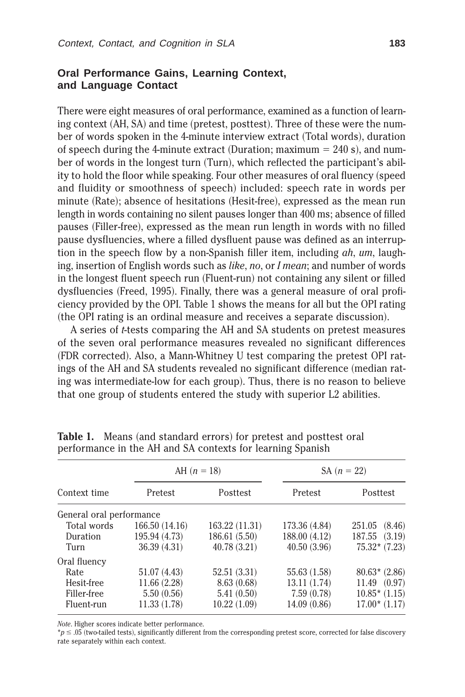### **Oral Performance Gains, Learning Context, and Language Contact**

There were eight measures of oral performance, examined as a function of learning context  $(AH, SA)$  and time (pretest, posttest). Three of these were the number of words spoken in the 4-minute interview extract (Total words), duration of speech during the 4-minute extract (Duration; maximum  $= 240$  s), and number of words in the longest turn (Turn), which reflected the participant's ability to hold the floor while speaking. Four other measures of oral fluency (speed and fluidity or smoothness of speech) included: speech rate in words per minute (Rate); absence of hesitations (Hesit-free), expressed as the mean run length in words containing no silent pauses longer than 400 ms; absence of filled pauses (Filler-free), expressed as the mean run length in words with no filled pause dysfluencies, where a filled dysfluent pause was defined as an interruption in the speech flow by a non-Spanish filler item, including *ah*, *um*, laughing, insertion of English words such as *like*, *no*, or *I mean*; and number of words in the longest fluent speech run (Fluent-run) not containing any silent or filled dysfluencies (Freed, 1995). Finally, there was a general measure of oral proficiency provided by the OPI. Table 1 shows the means for all but the OPI rating  $^{\prime}$  (the OPI rating is an ordinal measure and receives a separate discussion).

A series of *t*-tests comparing the AH and SA students on pretest measures of the seven oral performance measures revealed no significant differences (FDR corrected). Also, a Mann-Whitney U test comparing the pretest OPI ratings of the AH and SA students revealed no significant difference (median rating was intermediate-low for each group). Thus, there is no reason to believe that one group of students entered the study with superior L2 abilities+

|                          |               | AH $(n = 18)$  | SA $(n = 22)$ |                  |  |
|--------------------------|---------------|----------------|---------------|------------------|--|
| Context time             | Pretest       | Posttest       | Pretest       | Posttest         |  |
| General oral performance |               |                |               |                  |  |
| Total words              | 166.50(14.16) | 163.22 (11.31) | 173.36 (4.84) | (8.46)<br>251.05 |  |
| Duration                 | 195.94 (4.73) | 186.61(5.50)   | 188.00 (4.12) | 187.55 (3.19)    |  |
| Turn                     | 36.39(4.31)   | 40.78(3.21)    | 40.50(3.96)   | $75.32*(7.23)$   |  |
| Oral fluency             |               |                |               |                  |  |
| Rate                     | 51.07 (4.43)  | 52.51(3.31)    | 55.63 (1.58)  | $80.63*(2.86)$   |  |
| Hesit-free               | 11.66 (2.28)  | 8.63(0.68)     | 13.11(1.74)   | $11.49$ $(0.97)$ |  |
| Filler-free              | 5.50(0.56)    | 5.41(0.50)     | 7.59(0.78)    | $10.85*(1.15)$   |  |
| Fluent-run               | 11.33 (1.78)  | 10.22(1.09)    | 14.09(0.86)   | $17.00*(1.17)$   |  |

**Table 1.** Means (and standard errors) for pretest and posttest oral performance in the AH and SA contexts for learning Spanish

*Note*. Higher scores indicate better performance.

 $*_p \leq .05$  (two-tailed tests), significantly different from the corresponding pretest score, corrected for false discovery rate separately within each context.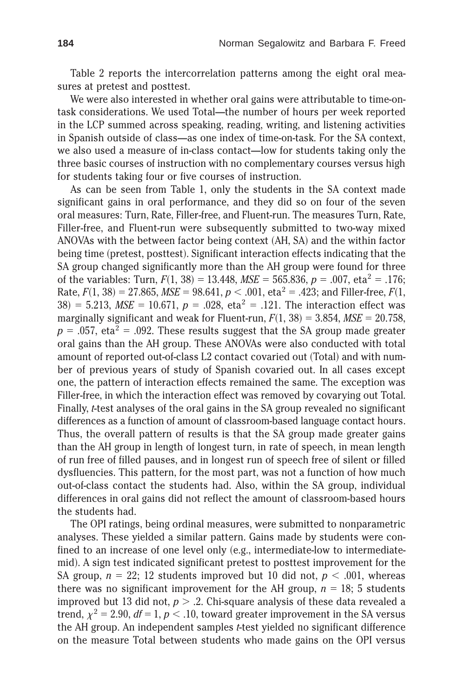Table 2 reports the intercorrelation patterns among the eight oral measures at pretest and posttest.

We were also interested in whether oral gains were attributable to time-ontask considerations+ We used Total—the number of hours per week reported in the LCP summed across speaking, reading, writing, and listening activities in Spanish outside of class—as one index of time-on-task. For the SA context, we also used a measure of in-class contact—low for students taking only the three basic courses of instruction with no complementary courses versus high for students taking four or five courses of instruction.

As can be seen from Table 1, only the students in the SA context made significant gains in oral performance, and they did so on four of the seven oral measures: Turn, Rate, Filler-free, and Fluent-run+ The measures Turn, Rate, Filler-free, and Fluent-run were subsequently submitted to two-way mixed ANOVAs with the between factor being context (AH, SA) and the within factor being time (pretest, posttest). Significant interaction effects indicating that the SA group changed significantly more than the AH group were found for three of the variables: Turn,  $F(1, 38) = 13.448$ ,  $MSE = 565.836$ ,  $p = .007$ , eta<sup>2</sup> = .176;  $Rate, F(1, 38) = 27,865, MSE = 98,641, p < .001, eta<sup>2</sup> = .423; and Filler-free, F(1, 1)$  $38$  = 5.213, *MSE* = 10.671, *p* = .028, eta<sup>2</sup> = .121. The interaction effect was marginally significant and weak for Fluent-run,  $F(1, 38) = 3.854$ ,  $MSE = 20.758$ ,  $p = .057$ , eta<sup>2</sup> = .092. These results suggest that the SA group made greater oral gains than the AH group. These ANOVAs were also conducted with total amount of reported out-of-class L2 contact covaried out (Total) and with number of previous years of study of Spanish covaried out. In all cases except one, the pattern of interaction effects remained the same. The exception was Filler-free, in which the interaction effect was removed by covarying out Total. Finally, *t*-test analyses of the oral gains in the SA group revealed no significant differences as a function of amount of classroom-based language contact hours+ Thus, the overall pattern of results is that the SA group made greater gains than the AH group in length of longest turn, in rate of speech, in mean length of run free of filled pauses, and in longest run of speech free of silent or filled dysfluencies. This pattern, for the most part, was not a function of how much out-of-class contact the students had+ Also, within the SA group, individual differences in oral gains did not reflect the amount of classroom-based hours the students had.

The OPI ratings, being ordinal measures, were submitted to nonparametric analyses. These yielded a similar pattern. Gains made by students were confined to an increase of one level only  $(e.g.,$  intermediate-low to intermediatemid). A sign test indicated significant pretest to posttest improvement for the SA group,  $n = 22$ ; 12 students improved but 10 did not,  $p < .001$ , whereas there was no significant improvement for the AH group,  $n = 18$ ; 5 students improved but 13 did not,  $p > 0.2$ . Chi-square analysis of these data revealed a trend,  $\chi^2 = 2.90$ , *df* = 1, *p* < .10, toward greater improvement in the SA versus the AH group. An independent samples *t*-test yielded no significant difference on the measure Total between students who made gains on the OPI versus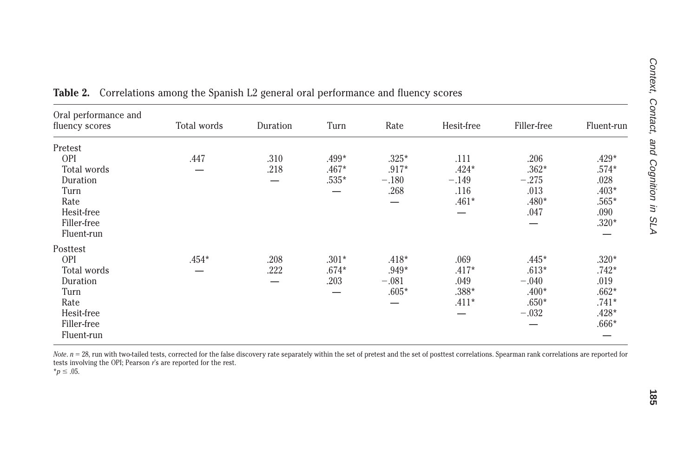| Oral performance and<br>fluency scores                                                                                                    | Total words | Duration     | Turn                           | Rate                                          | Hesit-free                                    | Filler-free                                                    | Fluent-run                                                                        |
|-------------------------------------------------------------------------------------------------------------------------------------------|-------------|--------------|--------------------------------|-----------------------------------------------|-----------------------------------------------|----------------------------------------------------------------|-----------------------------------------------------------------------------------|
| Pretest<br><b>OPI</b><br>Total words<br>Duration<br>Turn<br>Rate<br>Hesit-free                                                            | .447        | .310<br>.218 | .499*<br>$.467*$<br>.535*<br>– | $.325*$<br>$.917*$<br>$-.180$<br>.268<br>–    | .111<br>$.424*$<br>$-.149$<br>.116<br>$.461*$ | .206<br>$.362*$<br>$-.275$<br>.013<br>$.480*$<br>.047          | $.429*$<br>$.574*$<br>.028<br>$.403*$<br>$.565*$<br>.090                          |
| Filler-free<br>Fluent-run<br>Posttest<br><b>OPI</b><br>Total words<br>Duration<br>Turn<br>Rate<br>Hesit-free<br>Filler-free<br>Fluent-run | $.454*$     | .208<br>.222 | $.301*$<br>$.674*$<br>.203     | $.418*$<br>$.949*$<br>$-.081$<br>$.605*$<br>– | .069<br>$.417*$<br>.049<br>.388*<br>$.411*$   | $.445*$<br>$.613*$<br>$-.040$<br>$.400*$<br>$.650*$<br>$-.032$ | $.320*$<br>$.320*$<br>$.742*$<br>.019<br>$.662*$<br>$.741*$<br>$.428*$<br>$.666*$ |

|  |  | Table 2. Correlations among the Spanish L2 general oral performance and fluency scores |  |
|--|--|----------------------------------------------------------------------------------------|--|
|  |  |                                                                                        |  |

*Note. n =* 28, run with two-tailed tests, corrected for the false discovery rate separately within the set of pretest and the set of posttest correlations. Spearman rank correlations are reported for<br>tests involving the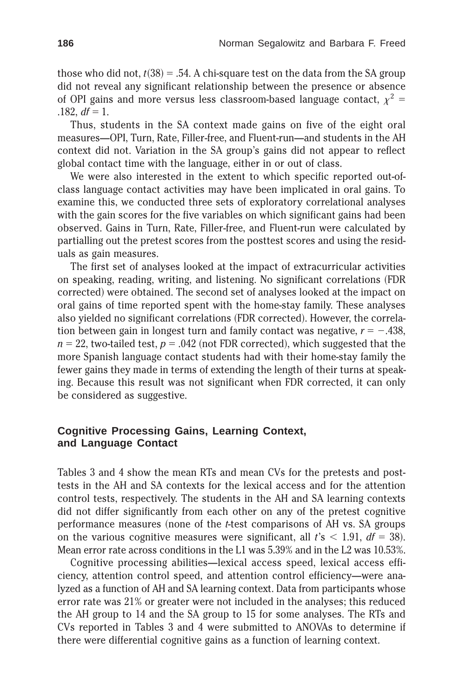those who did not,  $t(38) = .54$ . A chi-square test on the data from the SA group did not reveal any significant relationship between the presence or absence of OPI gains and more versus less classroom-based language contact,  $\chi^2$  =  $.182, df = 1.$ 

Thus, students in the SA context made gains on five of the eight oral measures—OPI, Turn, Rate, Filler-free, and Fluent-run—and students in the AH context did not. Variation in the SA group's gains did not appear to reflect global contact time with the language, either in or out of class+

We were also interested in the extent to which specific reported out-ofclass language contact activities may have been implicated in oral gains+ To examine this, we conducted three sets of exploratory correlational analyses with the gain scores for the five variables on which significant gains had been observed+ Gains in Turn, Rate, Filler-free, and Fluent-run were calculated by partialling out the pretest scores from the posttest scores and using the residuals as gain measures.

The first set of analyses looked at the impact of extracurricular activities on speaking, reading, writing, and listening. No significant correlations (FDR corrected) were obtained. The second set of analyses looked at the impact on oral gains of time reported spent with the home-stay family. These analyses also yielded no significant correlations (FDR corrected). However, the correlation between gain in longest turn and family contact was negative,  $r = -.438$ ,  $n = 22$ , two-tailed test,  $p = .042$  (not FDR corrected), which suggested that the more Spanish language contact students had with their home-stay family the fewer gains they made in terms of extending the length of their turns at speaking. Because this result was not significant when FDR corrected, it can only be considered as suggestive.

## **Cognitive Processing Gains, Learning Context, and Language Contact**

Tables 3 and 4 show the mean RTs and mean CVs for the pretests and posttests in the AH and SA contexts for the lexical access and for the attention control tests, respectively. The students in the AH and SA learning contexts did not differ significantly from each other on any of the pretest cognitive performance measures (none of the *t*-test comparisons of AH vs. SA groups on the various cognitive measures were significant, all  $t$ 's  $\leq$  1.91,  $df = 38$ ). Mean error rate across conditions in the L1 was  $5.39\%$  and in the L2 was 10.53%.

Cognitive processing abilities—lexical access speed, lexical access efficiency, attention control speed, and attention control efficiency—were analyzed as a function of AH and SA learning context. Data from participants whose error rate was 21% or greater were not included in the analyses; this reduced the AH group to 14 and the SA group to 15 for some analyses. The RTs and CVs reported in Tables 3 and 4 were submitted to ANOVAs to determine if there were differential cognitive gains as a function of learning context.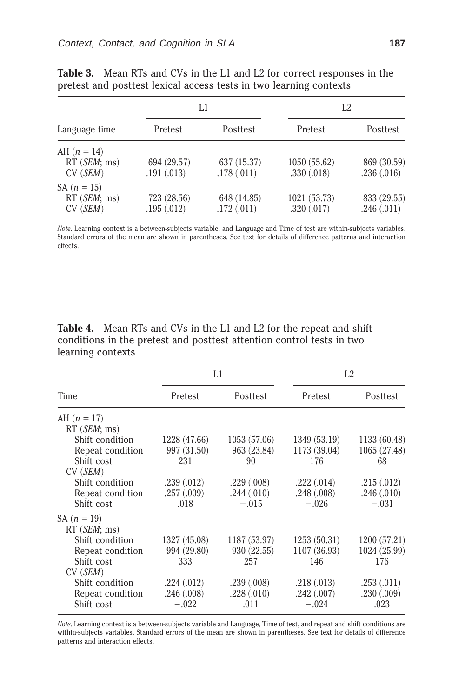|                                                                 |                           | L1                        | L2                         |                           |
|-----------------------------------------------------------------|---------------------------|---------------------------|----------------------------|---------------------------|
| Language time                                                   | Pretest                   | Posttest                  | Pretest                    | Posttest                  |
| AH $(n = 14)$<br>RT(SEM; ms)<br>$CV$ ( <i>SEM</i> )             | 694 (29.57)<br>.191(.013) | 637 (15.37)<br>.178(.011) | 1050 (55.62)<br>.330(.018) | 869 (30.59)<br>.236(.016) |
| SA $(n = 15)$<br>$RT$ ( <i>SEM</i> ; ms)<br>$CV$ ( <i>SEM</i> ) | 723 (28.56)<br>.195(.012) | 648 (14.85)<br>.172(.011) | 1021 (53.73)<br>.320(.017) | 833 (29.55)<br>.246(.011) |

**Table 3.** Mean RTs and CVs in the L1 and L2 for correct responses in the pretest and posttest lexical access tests in two learning contexts

*Note*. Learning context is a between-subjects variable, and Language and Time of test are within-subjects variables. Standard errors of the mean are shown in parentheses. See text for details of difference patterns and interaction effects.

|                                                                                   |                                     | L1                                  | L2                                        |                                     |
|-----------------------------------------------------------------------------------|-------------------------------------|-------------------------------------|-------------------------------------------|-------------------------------------|
| Time                                                                              | Pretest                             | Posttest                            | Pretest                                   | Posttest                            |
| AH $(n = 17)$<br>RT(SEM; ms)                                                      |                                     |                                     |                                           |                                     |
| Shift condition<br>Repeat condition<br>Shift cost<br>$CV$ ( <i>SEM</i> )          | 1228 (47.66)<br>997 (31.50)<br>231  | 1053 (57.06)<br>963 (23.84)<br>90   | 1349 (53.19)<br>1173 (39.04)<br>176       | 1133 (60.48)<br>1065 (27.48)<br>68  |
| Shift condition<br>Repeat condition<br>Shift cost                                 | .239(.012)<br>.257(.009)<br>.018    | .229(.008)<br>.244(.010)<br>$-.015$ | .222(.014)<br>.248(.008)<br>$-.026$       | .215(.012)<br>.246(.010)<br>$-.031$ |
| SA $(n = 19)$<br>RT(SEM; ms)<br>Shift condition<br>Repeat condition<br>Shift cost | 1327 (45.08)<br>994 (29.80)<br>333  | 1187 (53.97)<br>930 (22.55)<br>257  | 1253(50.31)<br>1107 (36.93)<br>146        | 1200 (57.21)<br>1024 (25.99)<br>176 |
| $CV$ ( <i>SEM</i> )<br>Shift condition<br>Repeat condition<br>Shift cost          | .224(.012)<br>.246(.008)<br>$-.022$ | .239(.008)<br>.228(.010)<br>.011    | .218(.013)<br>$.242 \; (.007)$<br>$-.024$ | .253(.011)<br>.230(.009)<br>.023    |

**Table 4.** Mean RTs and CVs in the L1 and L2 for the repeat and shift conditions in the pretest and posttest attention control tests in two learning contexts

*Note*. Learning context is a between-subjects variable and Language, Time of test, and repeat and shift conditions are within-subjects variables. Standard errors of the mean are shown in parentheses. See text for details of difference patterns and interaction effects.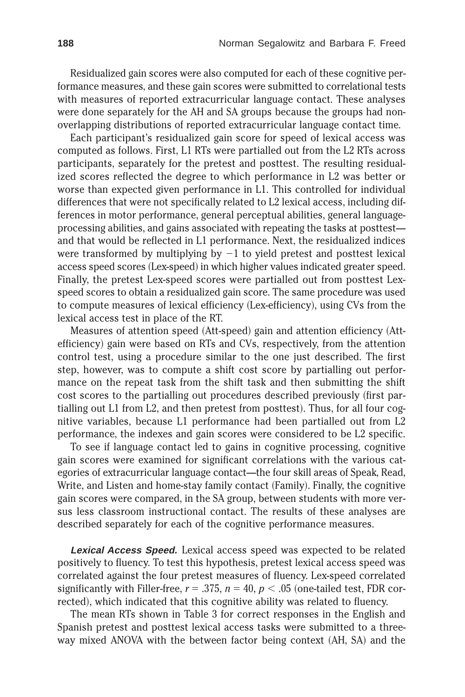Residualized gain scores were also computed for each of these cognitive performance measures, and these gain scores were submitted to correlational tests with measures of reported extracurricular language contact. These analyses were done separately for the AH and SA groups because the groups had nonoverlapping distributions of reported extracurricular language contact time+

Each participant's residualized gain score for speed of lexical access was computed as follows. First, L1 RTs were partialled out from the L2 RTs across participants, separately for the pretest and posttest. The resulting residualized scores reflected the degree to which performance in L2 was better or worse than expected given performance in L1. This controlled for individual differences that were not specifically related to L2 lexical access, including differences in motor performance, general perceptual abilities, general languageprocessing abilities, and gains associated with repeating the tasks at posttest and that would be reflected in L1 performance. Next, the residualized indices were transformed by multiplying by  $-1$  to yield pretest and posttest lexical access speed scores (Lex-speed) in which higher values indicated greater speed. Finally, the pretest Lex-speed scores were partialled out from posttest Lexspeed scores to obtain a residualized gain score. The same procedure was used to compute measures of lexical efficiency (Lex-efficiency), using CVs from the lexical access test in place of the RT.

Measures of attention speed (Att-speed) gain and attention efficiency (Attefficiency) gain were based on RTs and CVs, respectively, from the attention control test, using a procedure similar to the one just described. The first step, however, was to compute a shift cost score by partialling out performance on the repeat task from the shift task and then submitting the shift cost scores to the partialling out procedures described previously (first partialling out  $L1$  from  $L2$ , and then pretest from posttest). Thus, for all four cognitive variables, because L1 performance had been partialled out from L2 performance, the indexes and gain scores were considered to be L2 specific+

To see if language contact led to gains in cognitive processing, cognitive gain scores were examined for significant correlations with the various categories of extracurricular language contact—the four skill areas of Speak, Read, Write, and Listen and home-stay family contact (Family). Finally, the cognitive gain scores were compared, in the SA group, between students with more versus less classroom instructional contact. The results of these analyses are described separately for each of the cognitive performance measures.

**Lexical Access Speed.** Lexical access speed was expected to be related positively to fluency. To test this hypothesis, pretest lexical access speed was correlated against the four pretest measures of fluency. Lex-speed correlated significantly with Filler-free,  $r = .375$ ,  $n = 40$ ,  $p < .05$  (one-tailed test, FDR corrected), which indicated that this cognitive ability was related to fluency.

The mean RTs shown in Table 3 for correct responses in the English and Spanish pretest and posttest lexical access tasks were submitted to a threeway mixed ANOVA with the between factor being context (AH, SA) and the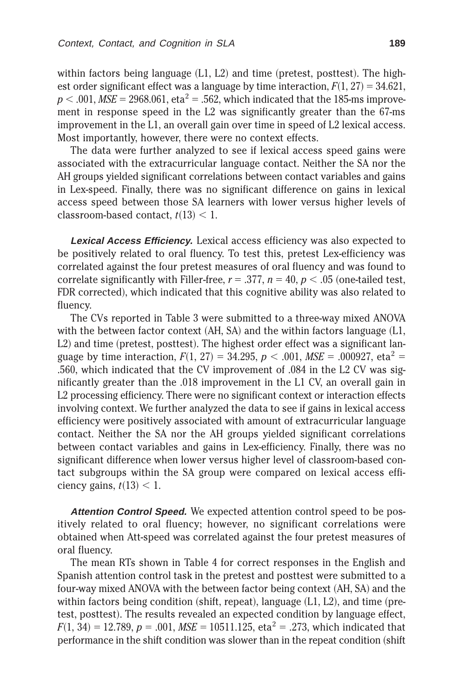within factors being language  $(L1, L2)$  and time (pretest, posttest). The highest order significant effect was a language by time interaction,  $F(1, 27) = 34.621$ ,  $p < .001$ , *MSE* = 2968,061, eta<sup>2</sup> = .562, which indicated that the 185-ms improvement in response speed in the L2 was significantly greater than the 67-ms improvement in the  $L1$ , an overall gain over time in speed of  $L2$  lexical access. Most importantly, however, there were no context effects.

The data were further analyzed to see if lexical access speed gains were associated with the extracurricular language contact. Neither the SA nor the AH groups yielded significant correlations between contact variables and gains in Lex-speed. Finally, there was no significant difference on gains in lexical access speed between those SA learners with lower versus higher levels of classroom-based contact,  $t(13) < 1$ .

**Lexical Access Efficiency.** Lexical access efficiency was also expected to be positively related to oral fluency. To test this, pretest Lex-efficiency was correlated against the four pretest measures of oral fluency and was found to correlate significantly with Filler-free,  $r = .377$ ,  $n = 40$ ,  $p < .05$  (one-tailed test, FDR corrected), which indicated that this cognitive ability was also related to fluency.

The CVs reported in Table 3 were submitted to a three-way mixed ANOVA with the between factor context  $(AH, SA)$  and the within factors language  $(L1,$  $L2$ ) and time (pretest, posttest). The highest order effect was a significant language by time interaction,  $F(1, 27) = 34.295$ ,  $p < .001$ ,  $MSE = .000927$ , eta<sup>2</sup> = .560, which indicated that the CV improvement of .084 in the L2 CV was significantly greater than the +018 improvement in the L1 CV, an overall gain in L2 processing efficiency. There were no significant context or interaction effects involving context. We further analyzed the data to see if gains in lexical access efficiency were positively associated with amount of extracurricular language contact. Neither the SA nor the AH groups yielded significant correlations between contact variables and gains in Lex-efficiency. Finally, there was no significant difference when lower versus higher level of classroom-based contact subgroups within the SA group were compared on lexical access efficiency gains,  $t(13) < 1$ .

**Attention Control Speed.** We expected attention control speed to be positively related to oral fluency; however, no significant correlations were obtained when Att-speed was correlated against the four pretest measures of oral fluency.

The mean RTs shown in Table 4 for correct responses in the English and Spanish attention control task in the pretest and posttest were submitted to a four-way mixed ANOVA with the between factor being context (AH, SA) and the within factors being condition (shift, repeat), language  $(L1, L2)$ , and time (pretest, posttest). The results revealed an expected condition by language effect,  $F(1, 34) = 12.789$ ,  $p = .001$ , *MSE* = 10511.125, eta<sup>2</sup> = .273, which indicated that performance in the shift condition was slower than in the repeat condition (shift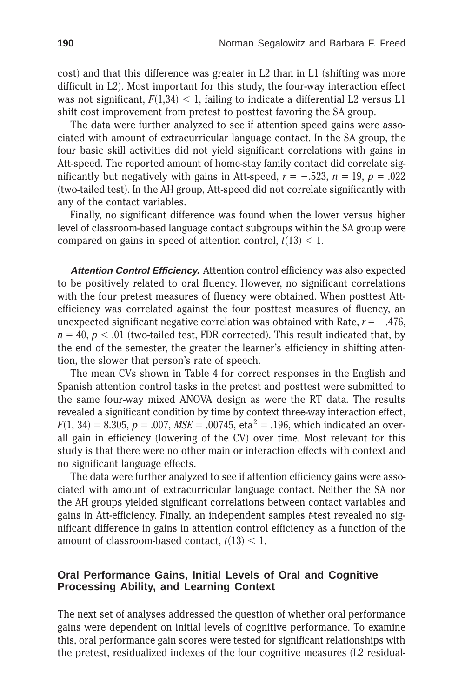$cost$ ) and that this difference was greater in L2 than in L1 (shifting was more difficult in  $L2$ ). Most important for this study, the four-way interaction effect was not significant,  $F(1,34) < 1$ , failing to indicate a differential L2 versus L1 shift cost improvement from pretest to posttest favoring the SA group.

The data were further analyzed to see if attention speed gains were associated with amount of extracurricular language contact. In the SA group, the four basic skill activities did not yield significant correlations with gains in Att-speed. The reported amount of home-stay family contact did correlate significantly but negatively with gains in Att-speed,  $r = -.523$ ,  $n = 19$ ,  $p = .022$ (two-tailed test). In the AH group, Att-speed did not correlate significantly with any of the contact variables.

Finally, no significant difference was found when the lower versus higher level of classroom-based language contact subgroups within the SA group were compared on gains in speed of attention control,  $t(13) < 1$ .

**Attention Control Efficiency.** Attention control efficiency was also expected to be positively related to oral fluency. However, no significant correlations with the four pretest measures of fluency were obtained. When posttest Attefficiency was correlated against the four posttest measures of fluency, an unexpected significant negative correlation was obtained with Rate,  $r = -.476$ ,  $n = 40$ ,  $p < .01$  (two-tailed test, FDR corrected). This result indicated that, by the end of the semester, the greater the learner's efficiency in shifting attention, the slower that person's rate of speech.

The mean CVs shown in Table 4 for correct responses in the English and Spanish attention control tasks in the pretest and posttest were submitted to the same four-way mixed ANOVA design as were the RT data. The results revealed a significant condition by time by context three-way interaction effect,  $F(1, 34) = 8.305, p = .007, \text{MSE} = .00745, \text{ eta}^2 = .196, \text{ which indicated an over-}$ all gain in efficiency (lowering of the CV) over time. Most relevant for this study is that there were no other main or interaction effects with context and no significant language effects.

The data were further analyzed to see if attention efficiency gains were associated with amount of extracurricular language contact. Neither the SA nor the AH groups yielded significant correlations between contact variables and gains in Att-efficiency. Finally, an independent samples *t*-test revealed no significant difference in gains in attention control efficiency as a function of the amount of classroom-based contact,  $t(13) < 1$ .

## **Oral Performance Gains, Initial Levels of Oral and Cognitive Processing Ability, and Learning Context**

The next set of analyses addressed the question of whether oral performance gains were dependent on initial levels of cognitive performance. To examine this, oral performance gain scores were tested for significant relationships with the pretest, residualized indexes of the four cognitive measures  $(L2 \text{ residual}$ -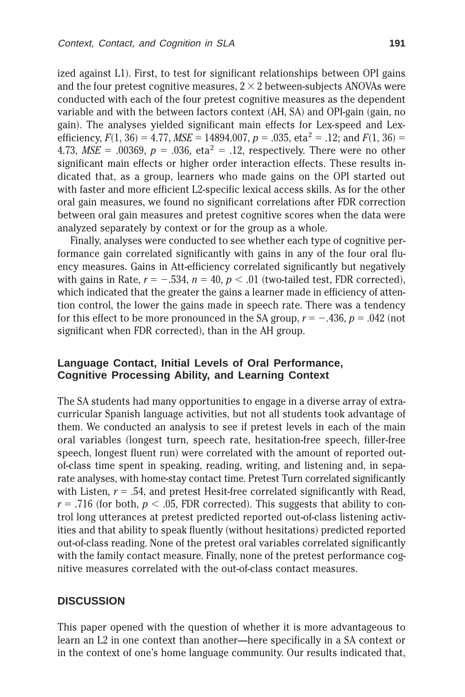ized against  $L1$ ). First, to test for significant relationships between OPI gains and the four pretest cognitive measures,  $2 \times 2$  between-subjects ANOVAs were conducted with each of the four pretest cognitive measures as the dependent variable and with the between factors context  $(AH, SA)$  and OPI-gain (gain, no gain). The analyses yielded significant main effects for Lex-speed and Lexefficiency,  $F(1, 36) = 4.77$ ,  $MSE = 14894.007$ ,  $p = .035$ , eta<sup>2</sup> = .12; and  $F(1, 36)$  = 4.73, *MSE* = .00369,  $p = .036$ , eta<sup>2</sup> = .12, respectively. There were no other significant main effects or higher order interaction effects. These results indicated that, as a group, learners who made gains on the OPI started out with faster and more efficient L2-specific lexical access skills. As for the other oral gain measures, we found no significant correlations after FDR correction between oral gain measures and pretest cognitive scores when the data were analyzed separately by context or for the group as a whole+

Finally, analyses were conducted to see whether each type of cognitive performance gain correlated significantly with gains in any of the four oral fluency measures. Gains in Att-efficiency correlated significantly but negatively with gains in Rate,  $r = -.534$ ,  $n = 40$ ,  $p < .01$  (two-tailed test, FDR corrected), which indicated that the greater the gains a learner made in efficiency of attention control, the lower the gains made in speech rate+ There was a tendency for this effect to be more pronounced in the SA group,  $r = -.436$ ,  $p = .042$  (not significant when FDR corrected), than in the AH group.

## **Language Contact, Initial Levels of Oral Performance, Cognitive Processing Ability, and Learning Context**

The SA students had many opportunities to engage in a diverse array of extracurricular Spanish language activities, but not all students took advantage of them. We conducted an analysis to see if pretest levels in each of the main oral variables (longest turn, speech rate, hesitation-free speech, filler-free speech, longest fluent run) were correlated with the amount of reported outof-class time spent in speaking, reading, writing, and listening and, in separate analyses, with home-stay contact time. Pretest Turn correlated significantly with Listen,  $r = .54$ , and pretest Hesit-free correlated significantly with Read,  $r = .716$  (for both,  $p < .05$ , FDR corrected). This suggests that ability to control long utterances at pretest predicted reported out-of-class listening activities and that ability to speak fluently (without hesitations) predicted reported out-of-class reading+ None of the pretest oral variables correlated significantly with the family contact measure. Finally, none of the pretest performance cognitive measures correlated with the out-of-class contact measures+

## **DISCUSSION**

This paper opened with the question of whether it is more advantageous to learn an L2 in one context than another—here specifically in a SA context or in the context of one's home language community. Our results indicated that,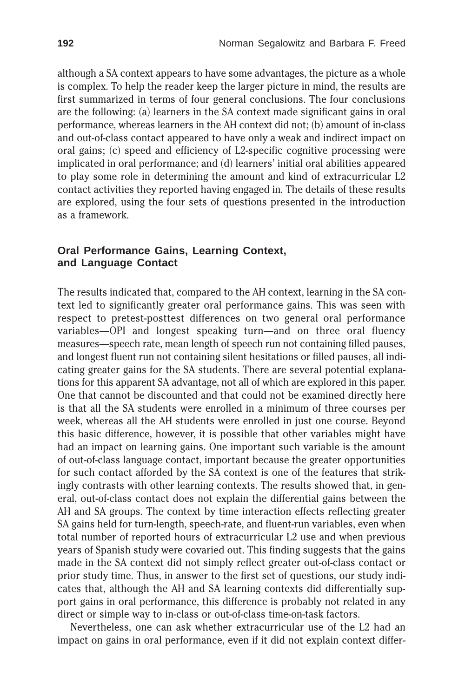although a SA context appears to have some advantages, the picture as a whole is complex. To help the reader keep the larger picture in mind, the results are first summarized in terms of four general conclusions. The four conclusions are the following:  $(a)$  learners in the SA context made significant gains in oral performance, whereas learners in the AH context did not;  $(b)$  amount of in-class and out-of-class contact appeared to have only a weak and indirect impact on oral gains;  $(c)$  speed and efficiency of L2-specific cognitive processing were implicated in oral performance; and  $(d)$  learners' initial oral abilities appeared to play some role in determining the amount and kind of extracurricular L2 contact activities they reported having engaged in. The details of these results are explored, using the four sets of questions presented in the introduction as a framework.

### **Oral Performance Gains, Learning Context, and Language Contact**

The results indicated that, compared to the AH context, learning in the SA context led to significantly greater oral performance gains. This was seen with respect to pretest-posttest differences on two general oral performance variables—OPI and longest speaking turn—and on three oral fluency measures—speech rate, mean length of speech run not containing filled pauses, and longest fluent run not containing silent hesitations or filled pauses, all indicating greater gains for the SA students. There are several potential explanations for this apparent SA advantage, not all of which are explored in this paper. One that cannot be discounted and that could not be examined directly here is that all the SA students were enrolled in a minimum of three courses per week, whereas all the AH students were enrolled in just one course+ Beyond this basic difference, however, it is possible that other variables might have had an impact on learning gains. One important such variable is the amount of out-of-class language contact, important because the greater opportunities for such contact afforded by the SA context is one of the features that strikingly contrasts with other learning contexts. The results showed that, in general, out-of-class contact does not explain the differential gains between the AH and SA groups. The context by time interaction effects reflecting greater SA gains held for turn-length, speech-rate, and fluent-run variables, even when total number of reported hours of extracurricular L2 use and when previous years of Spanish study were covaried out. This finding suggests that the gains made in the SA context did not simply reflect greater out-of-class contact or prior study time. Thus, in answer to the first set of questions, our study indicates that, although the AH and SA learning contexts did differentially support gains in oral performance, this difference is probably not related in any direct or simple way to in-class or out-of-class time-on-task factors.

Nevertheless, one can ask whether extracurricular use of the L2 had an impact on gains in oral performance, even if it did not explain context differ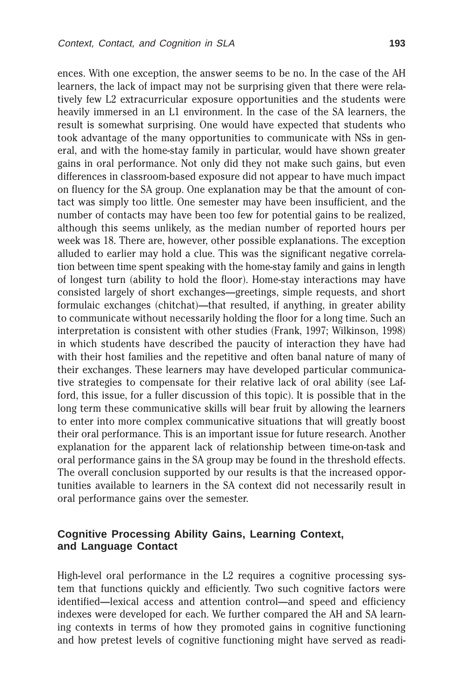ences. With one exception, the answer seems to be no. In the case of the AH learners, the lack of impact may not be surprising given that there were relatively few L2 extracurricular exposure opportunities and the students were heavily immersed in an L1 environment. In the case of the SA learners, the result is somewhat surprising+ One would have expected that students who took advantage of the many opportunities to communicate with NSs in general, and with the home-stay family in particular, would have shown greater gains in oral performance. Not only did they not make such gains, but even differences in classroom-based exposure did not appear to have much impact on fluency for the SA group. One explanation may be that the amount of contact was simply too little. One semester may have been insufficient, and the number of contacts may have been too few for potential gains to be realized, although this seems unlikely, as the median number of reported hours per week was 18. There are, however, other possible explanations. The exception alluded to earlier may hold a clue+ This was the significant negative correlation between time spent speaking with the home-stay family and gains in length of longest turn (ability to hold the floor). Home-stay interactions may have consisted largely of short exchanges—greetings, simple requests, and short formulaic exchanges (chitchat)—that resulted, if anything, in greater ability to communicate without necessarily holding the floor for a long time+ Such an interpretation is consistent with other studies (Frank, 1997; Wilkinson, 1998) in which students have described the paucity of interaction they have had with their host families and the repetitive and often banal nature of many of their exchanges. These learners may have developed particular communicative strategies to compensate for their relative lack of oral ability (see Lafford, this issue, for a fuller discussion of this topic). It is possible that in the long term these communicative skills will bear fruit by allowing the learners to enter into more complex communicative situations that will greatly boost their oral performance. This is an important issue for future research. Another explanation for the apparent lack of relationship between time-on-task and oral performance gains in the SA group may be found in the threshold effects. The overall conclusion supported by our results is that the increased opportunities available to learners in the SA context did not necessarily result in oral performance gains over the semester.

## **Cognitive Processing Ability Gains, Learning Context, and Language Contact**

High-level oral performance in the L2 requires a cognitive processing system that functions quickly and efficiently. Two such cognitive factors were identified—lexical access and attention control—and speed and efficiency indexes were developed for each. We further compared the AH and SA learning contexts in terms of how they promoted gains in cognitive functioning and how pretest levels of cognitive functioning might have served as readi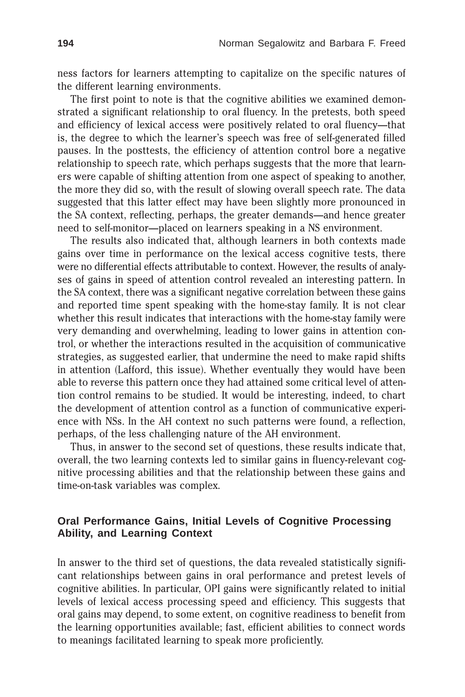ness factors for learners attempting to capitalize on the specific natures of the different learning environments.

The first point to note is that the cognitive abilities we examined demonstrated a significant relationship to oral fluency. In the pretests, both speed and efficiency of lexical access were positively related to oral fluency—that is, the degree to which the learner's speech was free of self-generated filled pauses. In the posttests, the efficiency of attention control bore a negative relationship to speech rate, which perhaps suggests that the more that learners were capable of shifting attention from one aspect of speaking to another, the more they did so, with the result of slowing overall speech rate. The data suggested that this latter effect may have been slightly more pronounced in the SA context, reflecting, perhaps, the greater demands—and hence greater need to self-monitor—placed on learners speaking in a NS environment.

The results also indicated that, although learners in both contexts made gains over time in performance on the lexical access cognitive tests, there were no differential effects attributable to context. However, the results of analyses of gains in speed of attention control revealed an interesting pattern. In the SA context, there was a significant negative correlation between these gains and reported time spent speaking with the home-stay family. It is not clear whether this result indicates that interactions with the home-stay family were very demanding and overwhelming, leading to lower gains in attention control, or whether the interactions resulted in the acquisition of communicative strategies, as suggested earlier, that undermine the need to make rapid shifts in attention (Lafford, this issue). Whether eventually they would have been able to reverse this pattern once they had attained some critical level of attention control remains to be studied. It would be interesting, indeed, to chart the development of attention control as a function of communicative experience with NSs. In the AH context no such patterns were found, a reflection, perhaps, of the less challenging nature of the AH environment.

Thus, in answer to the second set of questions, these results indicate that, overall, the two learning contexts led to similar gains in fluency-relevant cognitive processing abilities and that the relationship between these gains and time-on-task variables was complex.

## **Oral Performance Gains, Initial Levels of Cognitive Processing Ability, and Learning Context**

In answer to the third set of questions, the data revealed statistically significant relationships between gains in oral performance and pretest levels of cognitive abilities. In particular, OPI gains were significantly related to initial levels of lexical access processing speed and efficiency+ This suggests that oral gains may depend, to some extent, on cognitive readiness to benefit from the learning opportunities available; fast, efficient abilities to connect words to meanings facilitated learning to speak more proficiently.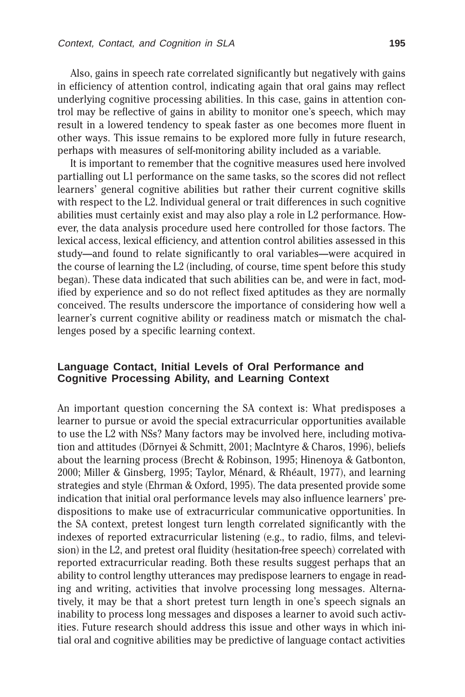Also, gains in speech rate correlated significantly but negatively with gains in efficiency of attention control, indicating again that oral gains may reflect underlying cognitive processing abilities. In this case, gains in attention control may be reflective of gains in ability to monitor one's speech, which may result in a lowered tendency to speak faster as one becomes more fluent in other ways. This issue remains to be explored more fully in future research, perhaps with measures of self-monitoring ability included as a variable+

It is important to remember that the cognitive measures used here involved partialling out L1 performance on the same tasks, so the scores did not reflect learners' general cognitive abilities but rather their current cognitive skills with respect to the L2. Individual general or trait differences in such cognitive abilities must certainly exist and may also play a role in L2 performance. However, the data analysis procedure used here controlled for those factors. The lexical access, lexical efficiency, and attention control abilities assessed in this study—and found to relate significantly to oral variables—were acquired in the course of learning the L2 (including, of course, time spent before this study began). These data indicated that such abilities can be, and were in fact, modified by experience and so do not reflect fixed aptitudes as they are normally conceived. The results underscore the importance of considering how well a learner's current cognitive ability or readiness match or mismatch the challenges posed by a specific learning context.

## **Language Contact, Initial Levels of Oral Performance and Cognitive Processing Ability, and Learning Context**

An important question concerning the SA context is: What predisposes a learner to pursue or avoid the special extracurricular opportunities available to use the L2 with NSs? Many factors may be involved here, including motivation and attitudes (Dörnyei & Schmitt, 2001; MacIntyre & Charos, 1996), beliefs about the learning process (Brecht & Robinson, 1995; Hinenoya & Gatbonton, 2000; Miller & Ginsberg, 1995; Taylor, Ménard, & Rhéault, 1977), and learning strategies and style  $(Ehrman & Oxford, 1995)$ . The data presented provide some indication that initial oral performance levels may also influence learners' predispositions to make use of extracurricular communicative opportunities. In the SA context, pretest longest turn length correlated significantly with the indexes of reported extracurricular listening  $(e.g., to radio, films, and televi$ sion) in the L2, and pretest oral fluidity (hesitation-free speech) correlated with reported extracurricular reading. Both these results suggest perhaps that an ability to control lengthy utterances may predispose learners to engage in reading and writing, activities that involve processing long messages. Alternatively, it may be that a short pretest turn length in one's speech signals an inability to process long messages and disposes a learner to avoid such activities. Future research should address this issue and other ways in which initial oral and cognitive abilities may be predictive of language contact activities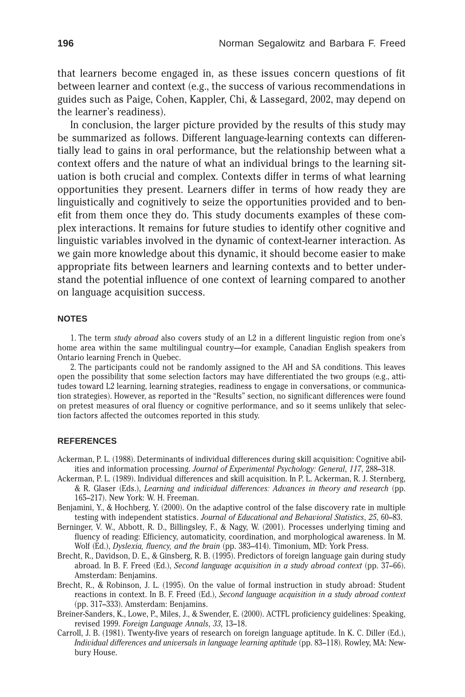that learners become engaged in, as these issues concern questions of fit between learner and context (e.g., the success of various recommendations in guides such as Paige, Cohen, Kappler, Chi, & Lassegard, 2002, may depend on the learner's readiness).

In conclusion, the larger picture provided by the results of this study may be summarized as follows. Different language-learning contexts can differentially lead to gains in oral performance, but the relationship between what a context offers and the nature of what an individual brings to the learning situation is both crucial and complex+ Contexts differ in terms of what learning opportunities they present. Learners differ in terms of how ready they are linguistically and cognitively to seize the opportunities provided and to benefit from them once they do. This study documents examples of these complex interactions. It remains for future studies to identify other cognitive and linguistic variables involved in the dynamic of context-learner interaction. As we gain more knowledge about this dynamic, it should become easier to make appropriate fits between learners and learning contexts and to better understand the potential influence of one context of learning compared to another on language acquisition success.

#### **NOTES**

1. The term *study abroad* also covers study of an L2 in a different linguistic region from one's home area within the same multilingual country—for example, Canadian English speakers from Ontario learning French in Quebec+

2. The participants could not be randomly assigned to the AH and SA conditions. This leaves open the possibility that some selection factors may have differentiated the two groups (e.g., attitudes toward L2 learning, learning strategies, readiness to engage in conversations, or communication strategies). However, as reported in the "Results" section, no significant differences were found on pretest measures of oral fluency or cognitive performance, and so it seems unlikely that selection factors affected the outcomes reported in this study+

#### **REFERENCES**

- Ackerman, P. L. (1988). Determinants of individual differences during skill acquisition: Cognitive abilities and information processing. *Journal of Experimental Psychology: General*, 117, 288–318.
- Ackerman, P. L. (1989). Individual differences and skill acquisition. In P. L. Ackerman, R. J. Sternberg,  $&$  R. Glaser (Eds.), *Learning and individual differences: Advances in theory and research* (pp. 165–217). New York: W. H. Freeman.
- Benjamini, Y., & Hochberg, Y. (2000). On the adaptive control of the false discovery rate in multiple testing with independent statistics+ *Journal of Educational and Behavioral Statistics*, *25*, 60–83+
- Berninger, V. W., Abbott, R. D., Billingsley, F., & Nagy, W. (2001). Processes underlying timing and fluency of reading: Efficiency, automaticity, coordination, and morphological awareness. In M. Wolf (Ed.), *Dyslexia, fluency, and the brain* (pp. 383–414). Timonium, MD: York Press.
- Brecht, R., Davidson, D. E., & Ginsberg, R. B. (1995). Predictors of foreign language gain during study abroad. In B. F. Freed (Ed.), *Second language acquisition in a study abroad context* (pp. 37–66). Amsterdam: Benjamins+
- Brecht, R., & Robinson, J. L. (1995). On the value of formal instruction in study abroad: Student reactions in context. In B. F. Freed (Ed.), *Second language acquisition in a study abroad context* (pp. 317–333). Amsterdam: Benjamins.
- Breiner-Sanders, K., Lowe, P., Miles, J., & Swender, E. (2000). ACTFL proficiency guidelines: Speaking, revised 1999. *Foreign Language Annals*, 33, 13-18.
- Carroll, J. B. (1981). Twenty-five years of research on foreign language aptitude. In K. C. Diller (Ed.), *Individual differences and universals in language learning aptitude* (pp. 83–118). Rowley, MA: Newbury House.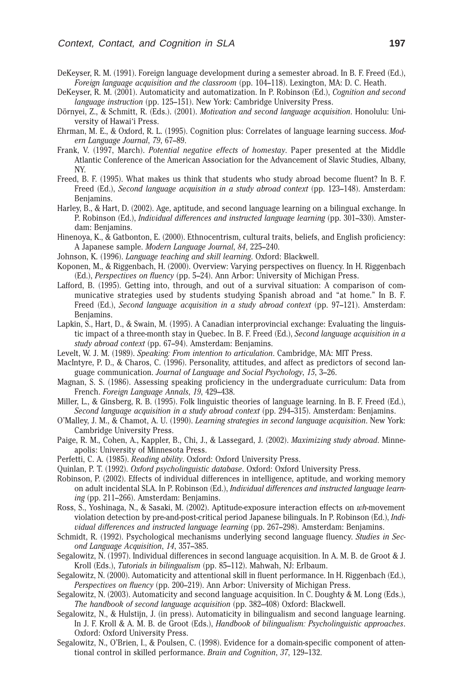- DeKeyser, R. M. (1991). Foreign language development during a semester abroad. In B. F. Freed (Ed.), *Foreign language acquisition and the classroom* (pp. 104–118). Lexington, MA: D. C. Heath.
- DeKeyser, R. M. (2001). Automaticity and automatization. In P. Robinson (Ed.), *Cognition and second language instruction* (pp. 125–151). New York: Cambridge University Press.
- Dörnyei, Z., & Schmitt, R. (Eds.). (2001). *Motivation and second language acquisition*. Honolulu: University of Hawai'i Press.
- Ehrman, M. E., & Oxford, R. L. (1995). Cognition plus: Correlates of language learning success. *Modern Language Journal*, *79*, 67–89+
- Frank, V. (1997, March). *Potential negative effects of homestay*. Paper presented at the Middle Atlantic Conference of the American Association for the Advancement of Slavic Studies, Albany, NY.
- Freed, B. F. (1995). What makes us think that students who study abroad become fluent? In B. F. Freed (Ed.), *Second language acquisition in a study abroad context* (pp. 123–148). Amsterdam: Benjamins.
- Harley, B., & Hart, D. (2002). Age, aptitude, and second language learning on a bilingual exchange. In P. Robinson (Ed.), *Individual differences and instructed language learning* (pp. 301–330). Amsterdam: Benjamins.
- Hinenoya, K., & Gatbonton, E. (2000). Ethnocentrism, cultural traits, beliefs, and English proficiency: A Japanese sample+ *Modern Language Journal*, *84*, 225–240+
- Johnson, K. (1996). *Language teaching and skill learning*. Oxford: Blackwell.
- Koponen, M., & Riggenbach, H. (2000). Overview: Varying perspectives on fluency. In H. Riggenbach (Ed.), *Perspectives on fluency* (pp. 5–24). Ann Arbor: University of Michigan Press.
- Lafford, B. (1995). Getting into, through, and out of a survival situation: A comparison of communicative strategies used by students studying Spanish abroad and "at home." In B. F. Freed (Ed.), *Second language acquisition in a study abroad context* (pp. 97-121). Amsterdam: Benjamins.
- Lapkin, S., Hart, D., & Swain, M. (1995). A Canadian interprovincial exchange: Evaluating the linguistic impact of a three-month stay in Quebec. In B. F. Freed (Ed.), *Second language acquisition in a study abroad context* (pp. 67–94). Amsterdam: Benjamins.
- Levelt, W. J. M. (1989). *Speaking: From intention to articulation*. Cambridge, MA: MIT Press.
- MacIntyre, P. D., & Charos, C. (1996). Personality, attitudes, and affect as predictors of second language communication+ *Journal of Language and Social Psychology*, *15*, 3–26+
- Magnan, S. S. (1986). Assessing speaking proficiency in the undergraduate curriculum: Data from French. *Foreign Language Annals*, 19, 429–438.
- Miller, L., & Ginsberg, R. B. (1995). Folk linguistic theories of language learning. In B. F. Freed (Ed.), *Second language acquisition in a study abroad context* (pp. 294–315). Amsterdam: Benjamins.
- O'Malley, J. M., & Chamot, A. U. (1990). *Learning strategies in second language acquisition*. New York: Cambridge University Press+
- Paige, R. M., Cohen, A., Kappler, B., Chi, J., & Lassegard, J. (2002). *Maximizing study abroad*. Minneapolis: University of Minnesota Press.
- Perfetti, C. A. (1985). *Reading ability*. Oxford: Oxford University Press.
- Quinlan, P. T. (1992). *Oxford psycholinguistic database*. Oxford: Oxford University Press.
- Robinson, P. (2002). Effects of individual differences in intelligence, aptitude, and working memory on adult incidental SLA. In P. Robinson (Ed.), *Individual differences and instructed language learn* $ing$  (pp. 211–266). Amsterdam: Benjamins.
- Ross, S., Yoshinaga, N., & Sasaki, M. (2002). Aptitude-exposure interaction effects on wh-movement violation detection by pre-and-post-critical period Japanese bilinguals. In P. Robinson (Ed.), *Individual differences and instructed language learning* (pp. 267–298). Amsterdam: Benjamins.
- Schmidt, R. (1992). Psychological mechanisms underlying second language fluency. *Studies in Second Language Acquisition*, *14*, 357–385+
- Segalowitz, N.  $(1997)$ . Individual differences in second language acquisition. In A, M, B, de Groot & J. Kroll (Eds.), *Tutorials in bilingualism* (pp. 85–112). Mahwah, NJ: Erlbaum.
- Segalowitz, N. (2000). Automaticity and attentional skill in fluent performance. In H. Riggenbach (Ed.), *Perspectives on fluency* (pp. 200–219). Ann Arbor: University of Michigan Press.
- Segalowitz, N. (2003). Automaticity and second language acquisition. In C. Doughty & M. Long (Eds.), *The handbook of second language acquisition* (pp. 382–408) Oxford: Blackwell.
- Segalowitz, N., & Hulstijn, J. (in press). Automaticity in bilingualism and second language learning. In J. F. Kroll & A. M. B. de Groot (Eds.), *Handbook of bilingualism: Psycholinguistic approaches*. Oxford: Oxford University Press.
- Segalowitz, N., O'Brien, I., & Poulsen, C. (1998). Evidence for a domain-specific component of attentional control in skilled performance. *Brain and Cognition*, 37, 129–132.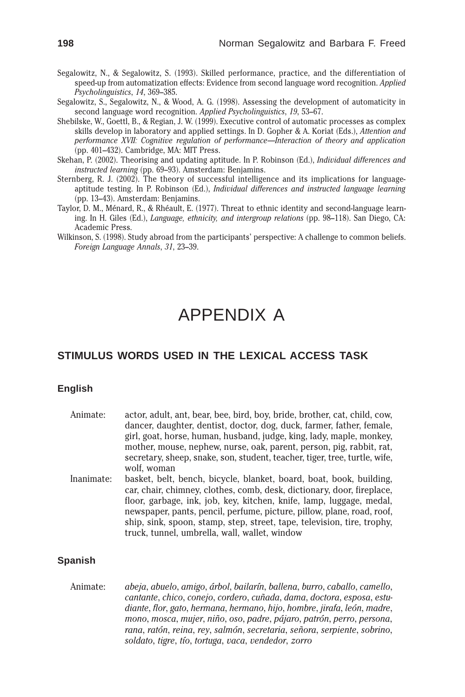- Segalowitz, N., & Segalowitz, S. (1993). Skilled performance, practice, and the differentiation of speed-up from automatization effects: Evidence from second language word recognition. *Applied Psycholinguistics*, *14*, 369–385+
- Segalowitz, S., Segalowitz, N., & Wood, A. G. (1998). Assessing the development of automaticity in second language word recognition. *Applied Psycholinguistics*, 19, 53–67.
- Shebilske, W., Goettl, B., & Regian, J. W. (1999). Executive control of automatic processes as complex skills develop in laboratory and applied settings. In D. Gopher & A. Koriat (Eds.), *Attention and performance XVII: Cognitive regulation of performance—Interaction of theory and application*  $(pp, 401-432)$ . Cambridge, MA: MIT Press.
- Skehan, P. (2002). Theorising and updating aptitude. In P. Robinson (Ed.), *Individual differences and instructed learning* (pp. 69–93). Amsterdam: Benjamins.
- Sternberg, R. J.  $(2002)$ . The theory of successful intelligence and its implications for languageaptitude testing. In P. Robinson (Ed.), *Individual differences and instructed language learning* (pp. 13–43). Amsterdam: Benjamins.
- Taylor, D. M., Ménard, R., & Rhéault, E. (1977). Threat to ethnic identity and second-language learning. In H. Giles (Ed.), *Language, ethnicity, and intergroup relations* (pp. 98–118). San Diego, CA: Academic Press.
- Wilkinson, S. (1998). Study abroad from the participants' perspective: A challenge to common beliefs. *Foreign Language Annals*, *31*, 23–39+

## APPENDIX A

## **STIMULUS WORDS USED IN THE LEXICAL ACCESS TASK**

#### **English**

| Animate:   | actor, adult, ant, bear, bee, bird, boy, bride, brother, cat, child, cow,<br>dancer, daughter, dentist, doctor, dog, duck, farmer, father, female,<br>girl, goat, horse, human, husband, judge, king, lady, maple, monkey,<br>mother, mouse, nephew, nurse, oak, parent, person, pig, rabbit, rat,<br>secretary, sheep, snake, son, student, teacher, tiger, tree, turtle, wife,<br>wolf, woman                             |
|------------|-----------------------------------------------------------------------------------------------------------------------------------------------------------------------------------------------------------------------------------------------------------------------------------------------------------------------------------------------------------------------------------------------------------------------------|
| Inanimate: | basket, belt, bench, bicycle, blanket, board, boat, book, building,<br>car, chair, chimney, clothes, comb, desk, dictionary, door, fireplace,<br>floor, garbage, ink, job, key, kitchen, knife, lamp, luggage, medal,<br>newspaper, pants, pencil, perfume, picture, pillow, plane, road, roof,<br>ship, sink, spoon, stamp, step, street, tape, television, tire, trophy,<br>truck, tunnel, umbrella, wall, wallet, window |

#### **Spanish**

Animate: *abeja*, *abuelo*, *amigo*, *árbol*, *bailarín*, *ballena*, *burro*, *caballo*, *camello*, *cantante*, *chico*, *conejo*, *cordero*, *cuñada*, *dama*, *doctora*, *esposa*, *estudiante*, *flor*, *gato*, *hermana*, *hermano*, *hijo*, *hombre*, *jirafa*, *león*, *madre*, *mono*, *mosca*, *mujer*, *niño*, *oso*, *padre*, *pájaro*, *patrón*, *perro*, *persona*, *rana*, *ratón*, *reina*, *rey*, *salmón*, *secretaria*, *señora*, *serpiente*, *sobrino*, *soldato*, *tigre*, *tío*, *tortuga*, *vaca*, *vendedor*, *zorro*